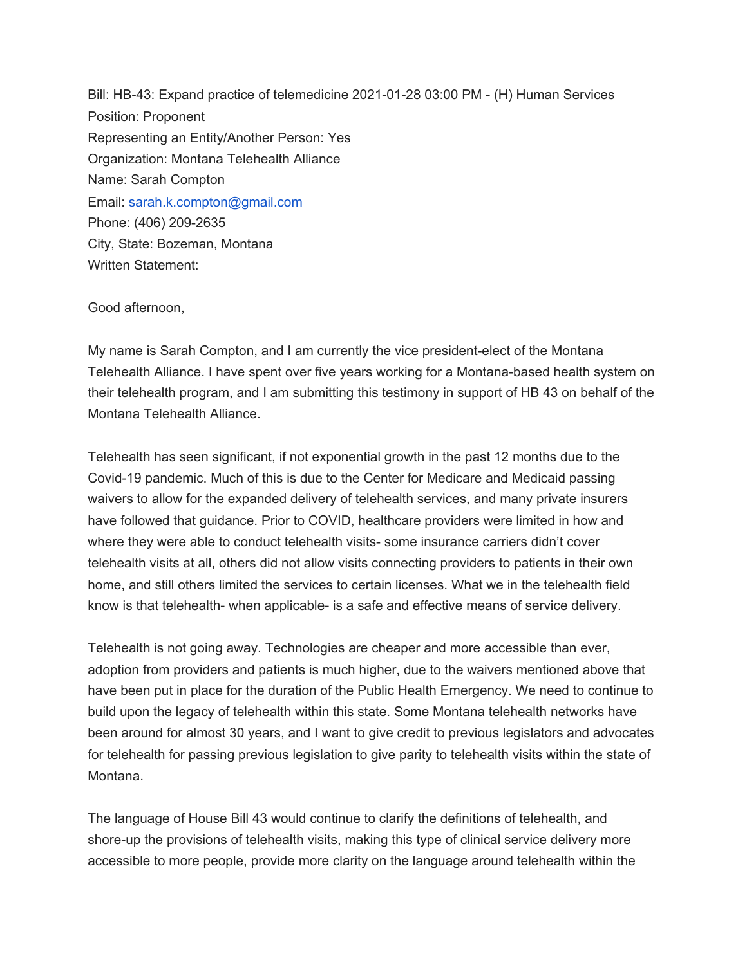Bill: HB-43: Expand practice of telemedicine 2021-01-28 03:00 PM - (H) Human Services Position: Proponent Representing an Entity/Another Person: Yes Organization: Montana Telehealth Alliance Name: Sarah Compton Email: sarah.k.compton@gmail.com Phone: (406) 209-2635 City, State: Bozeman, Montana Written Statement:

Good afternoon,

My name is Sarah Compton, and I am currently the vice president-elect of the Montana Telehealth Alliance. I have spent over five years working for a Montana-based health system on their telehealth program, and I am submitting this testimony in support of HB 43 on behalf of the Montana Telehealth Alliance.

Telehealth has seen significant, if not exponential growth in the past 12 months due to the Covid-19 pandemic. Much of this is due to the Center for Medicare and Medicaid passing waivers to allow for the expanded delivery of telehealth services, and many private insurers have followed that guidance. Prior to COVID, healthcare providers were limited in how and where they were able to conduct telehealth visits- some insurance carriers didn't cover telehealth visits at all, others did not allow visits connecting providers to patients in their own home, and still others limited the services to certain licenses. What we in the telehealth field know is that telehealth- when applicable- is a safe and effective means of service delivery.

Telehealth is not going away. Technologies are cheaper and more accessible than ever, adoption from providers and patients is much higher, due to the waivers mentioned above that have been put in place for the duration of the Public Health Emergency. We need to continue to build upon the legacy of telehealth within this state. Some Montana telehealth networks have been around for almost 30 years, and I want to give credit to previous legislators and advocates for telehealth for passing previous legislation to give parity to telehealth visits within the state of Montana.

The language of House Bill 43 would continue to clarify the definitions of telehealth, and shore-up the provisions of telehealth visits, making this type of clinical service delivery more accessible to more people, provide more clarity on the language around telehealth within the